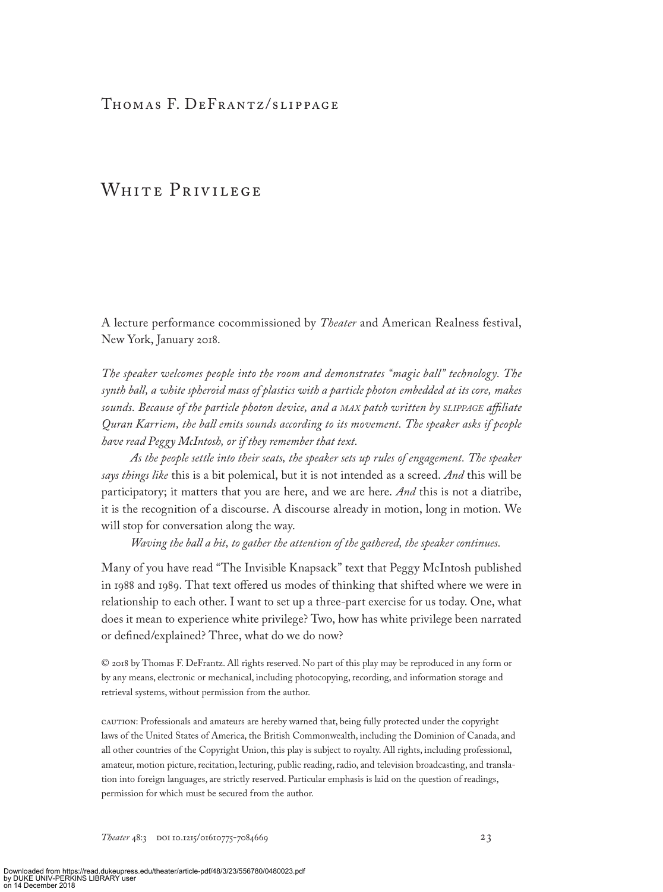## THOMAS F. DEFRANTZ/SLIPPAGE

# WHITE PRIVILEGE

A lecture performance cocommissioned by *Theater* and American Realness festival, New York, January 2018.

*The speaker welcomes people into the room and demonstrates "magic ball" technology. The synth ball, a white spheroid mass of plastics with a particle photon embedded at its core, makes sounds. Because of the particle photon device, and a max patch written by slippage affiliate Quran Karriem, the ball emits sounds according to its movement. The speaker asks if people have read Peggy McIntosh, or if they remember that text.*

*As the people settle into their seats, the speaker sets up rules of engagement. The speaker says things like* this is a bit polemical, but it is not intended as a screed. *And* this will be participatory; it matters that you are here, and we are here. *And* this is not a diatribe, it is the recognition of a discourse. A discourse already in motion, long in motion. We will stop for conversation along the way.

*Waving the ball a bit, to gather the attention of the gathered, the speaker continues.*

Many of you have read "The Invisible Knapsack" text that Peggy McIntosh published in 1988 and 1989. That text offered us modes of thinking that shifted where we were in relationship to each other. I want to set up a three-part exercise for us today. One, what does it mean to experience white privilege? Two, how has white privilege been narrated or defined/explained? Three, what do we do now?

© 2018 by Thomas F. DeFrantz. All rights reserved. No part of this play may be reproduced in any form or by any means, electronic or mechanical, including photocopying, recording, and information storage and retrieval systems, without permission from the author.

CAUTION: Professionals and amateurs are hereby warned that, being fully protected under the copyright laws of the United States of America, the British Commonwealth, including the Dominion of Canada, and all other countries of the Copyright Union, this play is subject to royalty. All rights, including professional, amateur, motion picture, recitation, lecturing, public reading, radio, and television broadcasting, and translation into foreign languages, are strictly reserved. Particular emphasis is laid on the question of readings, permission for which must be secured from the author.

Theater 48:3 DOI 10.1215/01610775-7084669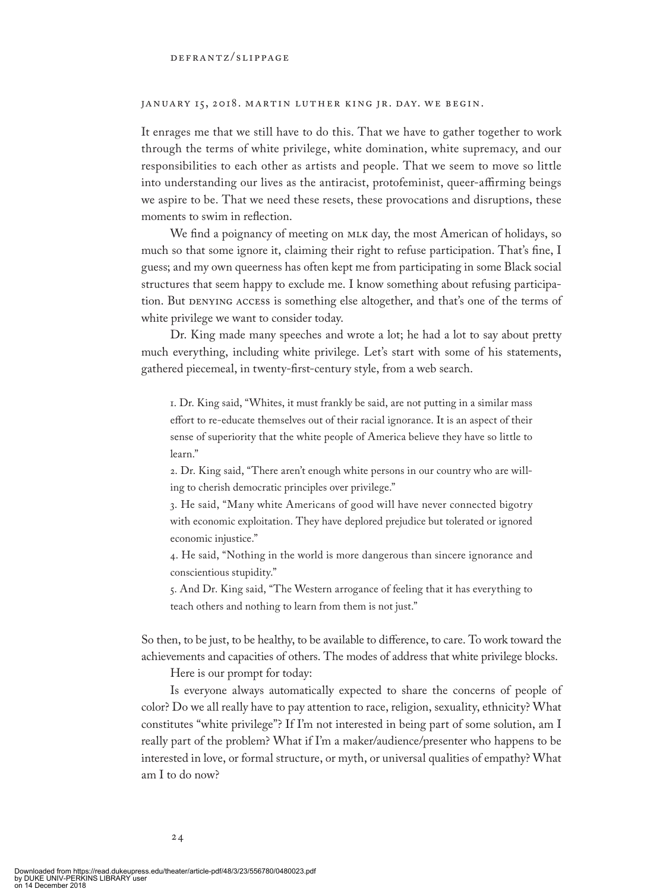### janua ry 15, 2018. martin luther king jr. day. we begin.

It enrages me that we still have to do this. That we have to gather together to work through the terms of white privilege, white domination, white supremacy, and our responsibilities to each other as artists and people. That we seem to move so little into understanding our lives as the antiracist, protofeminist, queer-affirming beings we aspire to be. That we need these resets, these provocations and disruptions, these moments to swim in reflection.

We find a poignancy of meeting on MLK day, the most American of holidays, so much so that some ignore it, claiming their right to refuse participation. That's fine, I guess; and my own queerness has often kept me from participating in some Black social structures that seem happy to exclude me. I know something about refusing participation. But DENYING ACCESS is something else altogether, and that's one of the terms of white privilege we want to consider today.

Dr. King made many speeches and wrote a lot; he had a lot to say about pretty much everything, including white privilege. Let's start with some of his statements, gathered piecemeal, in twenty-first-century style, from a web search.

1. Dr. King said, "Whites, it must frankly be said, are not putting in a similar mass effort to re-educate themselves out of their racial ignorance. It is an aspect of their sense of superiority that the white people of America believe they have so little to learn."

2. Dr. King said, "There aren't enough white persons in our country who are willing to cherish democratic principles over privilege."

3. He said, "Many white Americans of good will have never connected bigotry with economic exploitation. They have deplored prejudice but tolerated or ignored economic injustice."

4. He said, "Nothing in the world is more dangerous than sincere ignorance and conscientious stupidity."

5. And Dr. King said, "The Western arrogance of feeling that it has everything to teach others and nothing to learn from them is not just."

So then, to be just, to be healthy, to be available to difference, to care. To work toward the achievements and capacities of others. The modes of address that white privilege blocks.

Here is our prompt for today:

Is everyone always automatically expected to share the concerns of people of color? Do we all really have to pay attention to race, religion, sexuality, ethnicity? What constitutes "white privilege"? If I'm not interested in being part of some solution, am I really part of the problem? What if I'm a maker/audience/presenter who happens to be interested in love, or formal structure, or myth, or universal qualities of empathy? What am I to do now?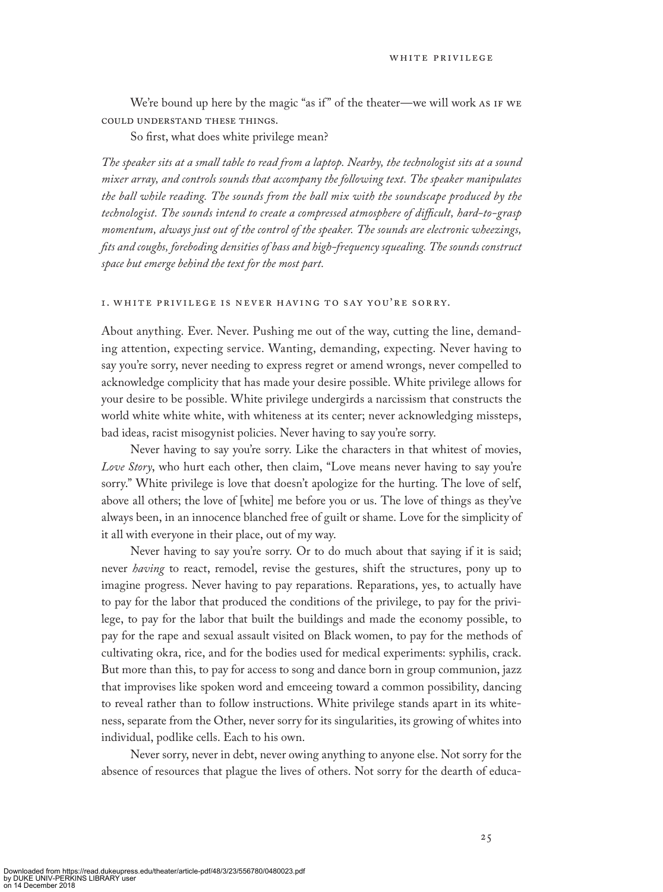We're bound up here by the magic "as if" of the theater—we will work AS IF WE COULD UNDERSTAND THESE THINGS.

So first, what does white privilege mean?

*The speaker sits at a small table to read from a laptop. Nearby, the technologist sits at a sound mixer array, and controls sounds that accompany the following text. The speaker manipulates the ball while reading. The sounds from the ball mix with the soundscape produced by the technologist. The sounds intend to create a compressed atmosphere of difficult, hard-to-grasp momentum, always just out of the control of the speaker. The sounds are electronic wheezings, fits and coughs, foreboding densities of bass and high-frequency squealing. The sounds construct space but emerge behind the text for the most part.*

### 1. white privilege is never having to say you 're sorry.

About anything. Ever. Never. Pushing me out of the way, cutting the line, demanding attention, expecting service. Wanting, demanding, expecting. Never having to say you're sorry, never needing to express regret or amend wrongs, never compelled to acknowledge complicity that has made your desire possible. White privilege allows for your desire to be possible. White privilege undergirds a narcissism that constructs the world white white white, with whiteness at its center; never acknowledging missteps, bad ideas, racist misogynist policies. Never having to say you're sorry.

Never having to say you're sorry. Like the characters in that whitest of movies, *Love Story*, who hurt each other, then claim, "Love means never having to say you're sorry." White privilege is love that doesn't apologize for the hurting. The love of self, above all others; the love of [white] me before you or us. The love of things as they've always been, in an innocence blanched free of guilt or shame. Love for the simplicity of it all with everyone in their place, out of my way.

Never having to say you're sorry. Or to do much about that saying if it is said; never *having* to react, remodel, revise the gestures, shift the structures, pony up to imagine progress. Never having to pay reparations. Reparations, yes, to actually have to pay for the labor that produced the conditions of the privilege, to pay for the privilege, to pay for the labor that built the buildings and made the economy possible, to pay for the rape and sexual assault visited on Black women, to pay for the methods of cultivating okra, rice, and for the bodies used for medical experiments: syphilis, crack. But more than this, to pay for access to song and dance born in group communion, jazz that improvises like spoken word and emceeing toward a common possibility, dancing to reveal rather than to follow instructions. White privilege stands apart in its whiteness, separate from the Other, never sorry for its singularities, its growing of whites into individual, podlike cells. Each to his own.

Never sorry, never in debt, never owing anything to anyone else. Not sorry for the absence of resources that plague the lives of others. Not sorry for the dearth of educa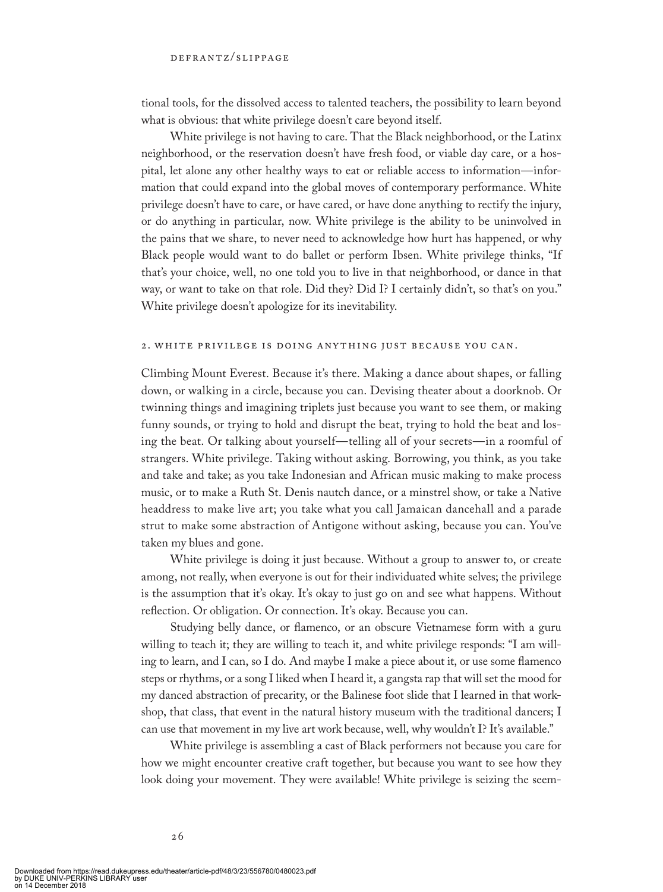tional tools, for the dissolved access to talented teachers, the possibility to learn beyond what is obvious: that white privilege doesn't care beyond itself.

White privilege is not having to care. That the Black neighborhood, or the Latinx neighborhood, or the reservation doesn't have fresh food, or viable day care, or a hospital, let alone any other healthy ways to eat or reliable access to information—information that could expand into the global moves of contemporary performance. White privilege doesn't have to care, or have cared, or have done anything to rectify the injury, or do anything in particular, now. White privilege is the ability to be uninvolved in the pains that we share, to never need to acknowledge how hurt has happened, or why Black people would want to do ballet or perform Ibsen. White privilege thinks, "If that's your choice, well, no one told you to live in that neighborhood, or dance in that way, or want to take on that role. Did they? Did I? I certainly didn't, so that's on you." White privilege doesn't apologize for its inevitability.

### 2. WHITE PRIVILEGE IS DOING ANYTHING JUST BECAUSE YOU CAN.

Climbing Mount Everest. Because it's there. Making a dance about shapes, or falling down, or walking in a circle, because you can. Devising theater about a doorknob. Or twinning things and imagining triplets just because you want to see them, or making funny sounds, or trying to hold and disrupt the beat, trying to hold the beat and losing the beat. Or talking about yourself—telling all of your secrets—in a roomful of strangers. White privilege. Taking without asking. Borrowing, you think, as you take and take and take; as you take Indonesian and African music making to make process music, or to make a Ruth St. Denis nautch dance, or a minstrel show, or take a Native headdress to make live art; you take what you call Jamaican dancehall and a parade strut to make some abstraction of Antigone without asking, because you can. You've taken my blues and gone.

White privilege is doing it just because. Without a group to answer to, or create among, not really, when everyone is out for their individuated white selves; the privilege is the assumption that it's okay. It's okay to just go on and see what happens. Without reflection. Or obligation. Or connection. It's okay. Because you can.

Studying belly dance, or flamenco, or an obscure Vietnamese form with a guru willing to teach it; they are willing to teach it, and white privilege responds: "I am willing to learn, and I can, so I do. And maybe I make a piece about it, or use some flamenco steps or rhythms, or a song I liked when I heard it, a gangsta rap that will set the mood for my danced abstraction of precarity, or the Balinese foot slide that I learned in that workshop, that class, that event in the natural history museum with the traditional dancers; I can use that movement in my live art work because, well, why wouldn't I? It's available."

White privilege is assembling a cast of Black performers not because you care for how we might encounter creative craft together, but because you want to see how they look doing your movement. They were available! White privilege is seizing the seem-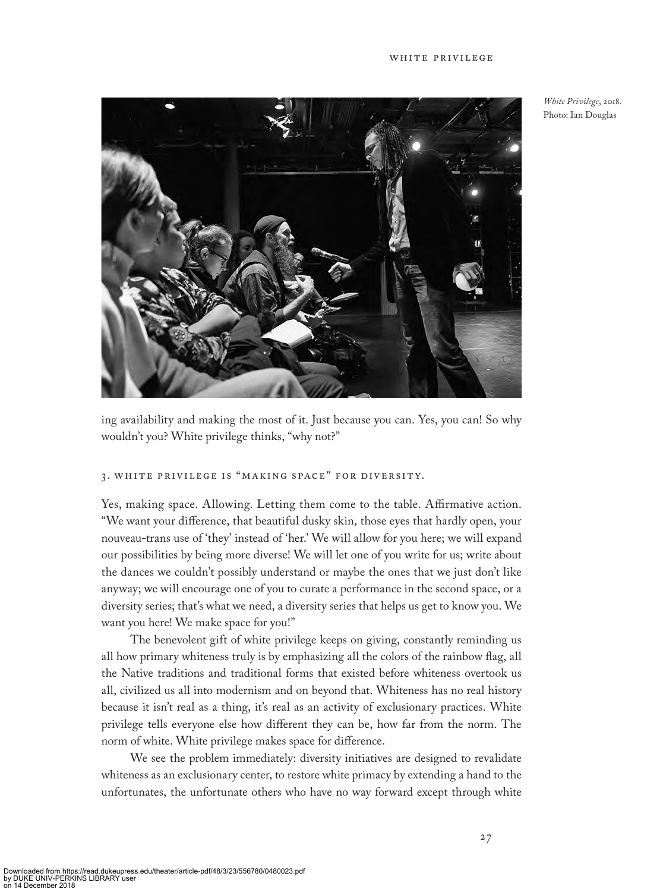

*White Privilege*, 2018. Photo: Ian Douglas

ing availability and making the most of it. Just because you can. Yes, you can! So why wouldn't you? White privilege thinks, "why not?"

### 3. WHITE PRIVILEGE IS "MAKING SPACE" FOR DIVERSITY.

Yes, making space. Allowing. Letting them come to the table. Affirmative action. "We want your difference, that beautiful dusky skin, those eyes that hardly open, your nouveau-trans use of 'they' instead of 'her.' We will allow for you here; we will expand our possibilities by being more diverse! We will let one of you write for us; write about the dances we couldn't possibly understand or maybe the ones that we just don't like anyway; we will encourage one of you to curate a performance in the second space, or a diversity series; that's what we need, a diversity series that helps us get to know you. We want you here! We make space for you!"

The benevolent gift of white privilege keeps on giving, constantly reminding us all how primary whiteness truly is by emphasizing all the colors of the rainbow flag, all the Native traditions and traditional forms that existed before whiteness overtook us all, civilized us all into modernism and on beyond that. Whiteness has no real history because it isn't real as a thing, it's real as an activity of exclusionary practices. White privilege tells everyone else how different they can be, how far from the norm. The norm of white. White privilege makes space for difference.

We see the problem immediately: diversity initiatives are designed to revalidate whiteness as an exclusionary center, to restore white primacy by extending a hand to the unfortunates, the unfortunate others who have no way forward except through white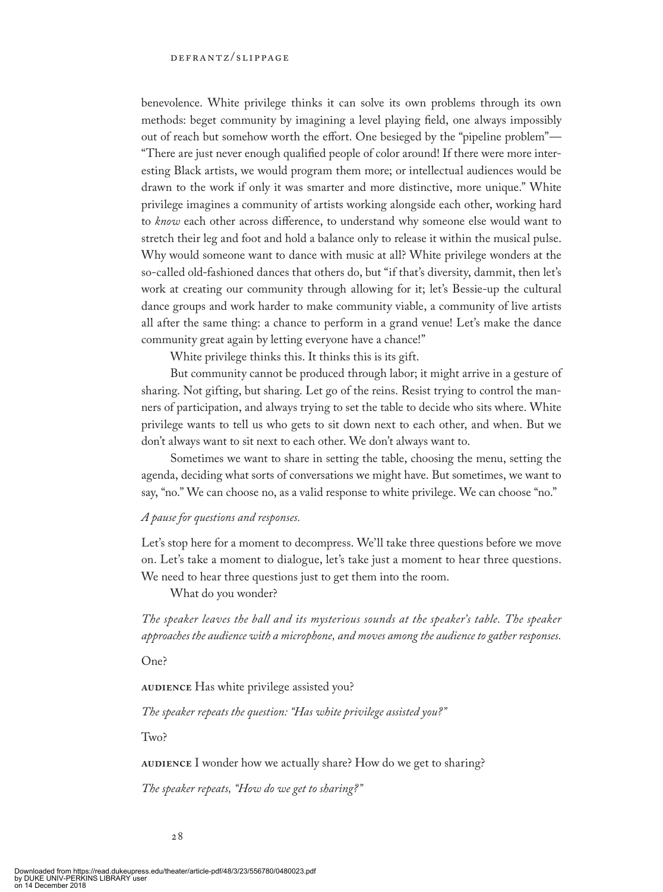benevolence. White privilege thinks it can solve its own problems through its own methods: beget community by imagining a level playing field, one always impossibly out of reach but somehow worth the effort. One besieged by the "pipeline problem"— "There are just never enough qualified people of color around! If there were more interesting Black artists, we would program them more; or intellectual audiences would be drawn to the work if only it was smarter and more distinctive, more unique." White privilege imagines a community of artists working alongside each other, working hard to *know* each other across difference, to understand why someone else would want to stretch their leg and foot and hold a balance only to release it within the musical pulse. Why would someone want to dance with music at all? White privilege wonders at the so-called old-fashioned dances that others do, but "if that's diversity, dammit, then let's work at creating our community through allowing for it; let's Bessie-up the cultural dance groups and work harder to make community viable, a community of live artists all after the same thing: a chance to perform in a grand venue! Let's make the dance community great again by letting everyone have a chance!"

White privilege thinks this. It thinks this is its gift.

But community cannot be produced through labor; it might arrive in a gesture of sharing. Not gifting, but sharing. Let go of the reins. Resist trying to control the manners of participation, and always trying to set the table to decide who sits where. White privilege wants to tell us who gets to sit down next to each other, and when. But we don't always want to sit next to each other. We don't always want to.

Sometimes we want to share in setting the table, choosing the menu, setting the agenda, deciding what sorts of conversations we might have. But sometimes, we want to say, "no." We can choose no, as a valid response to white privilege. We can choose "no."

### *A pause for questions and responses.*

Let's stop here for a moment to decompress. We'll take three questions before we move on. Let's take a moment to dialogue, let's take just a moment to hear three questions. We need to hear three questions just to get them into the room.

What do you wonder?

*The speaker leaves the ball and its mysterious sounds at the speaker's table. The speaker approaches the audience with a microphone, and moves among the audience to gather responses.*

One?

**AUDIENCE** Has white privilege assisted you?

*The speaker repeats the question: "Has white privilege assisted you?"*

Two?

**AUDIENCE** I wonder how we actually share? How do we get to sharing?

*The speaker repeats, "How do we get to sharing?"*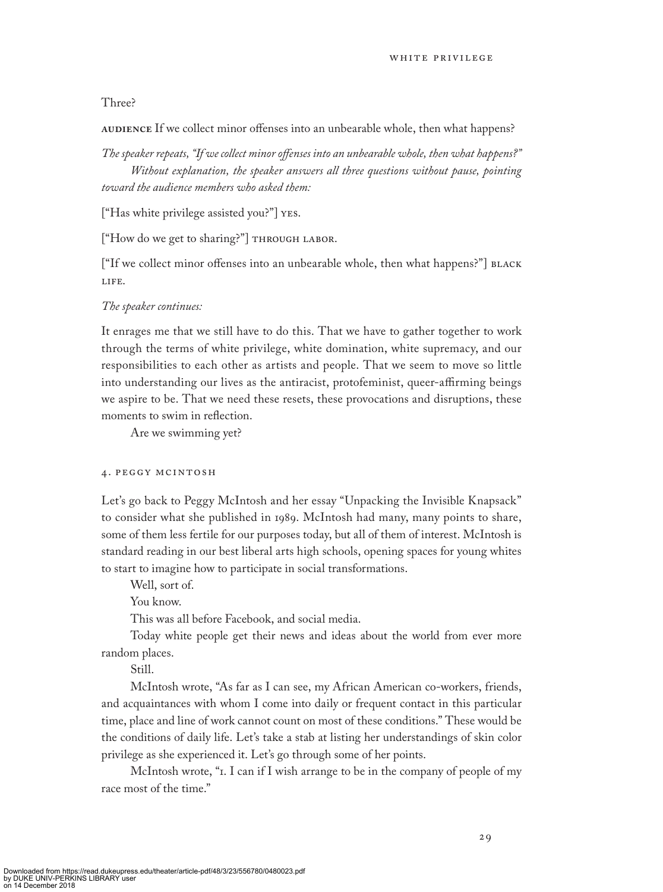### Three?

AUDIENCE If we collect minor offenses into an unbearable whole, then what happens?

*The speaker repeats, "If we collect minor offenses into an unbearable whole, then what happens?" Without explanation, the speaker answers all three questions without pause, pointing toward the audience members who asked them:*

["Has white privilege assisted you?"] Yes.

["How do we get to sharing?"] THROUGH LABOR.

["If we collect minor offenses into an unbearable whole, then what happens?"] BLACK life.

### *The speaker continues:*

It enrages me that we still have to do this. That we have to gather together to work through the terms of white privilege, white domination, white supremacy, and our responsibilities to each other as artists and people. That we seem to move so little into understanding our lives as the antiracist, protofeminist, queer-affirming beings we aspire to be. That we need these resets, these provocations and disruptions, these moments to swim in reflection.

Are we swimming yet?

### 4. peggy mcinto sh

Let's go back to Peggy McIntosh and her essay "Unpacking the Invisible Knapsack" to consider what she published in 1989. McIntosh had many, many points to share, some of them less fertile for our purposes today, but all of them of interest. McIntosh is standard reading in our best liberal arts high schools, opening spaces for young whites to start to imagine how to participate in social transformations.

Well, sort of.

You know.

This was all before Facebook, and social media.

Today white people get their news and ideas about the world from ever more random places.

Still.

McIntosh wrote, "As far as I can see, my African American co-workers, friends, and acquaintances with whom I come into daily or frequent contact in this particular time, place and line of work cannot count on most of these conditions." These would be the conditions of daily life. Let's take a stab at listing her understandings of skin color privilege as she experienced it. Let's go through some of her points.

McIntosh wrote, "I. I can if I wish arrange to be in the company of people of my race most of the time."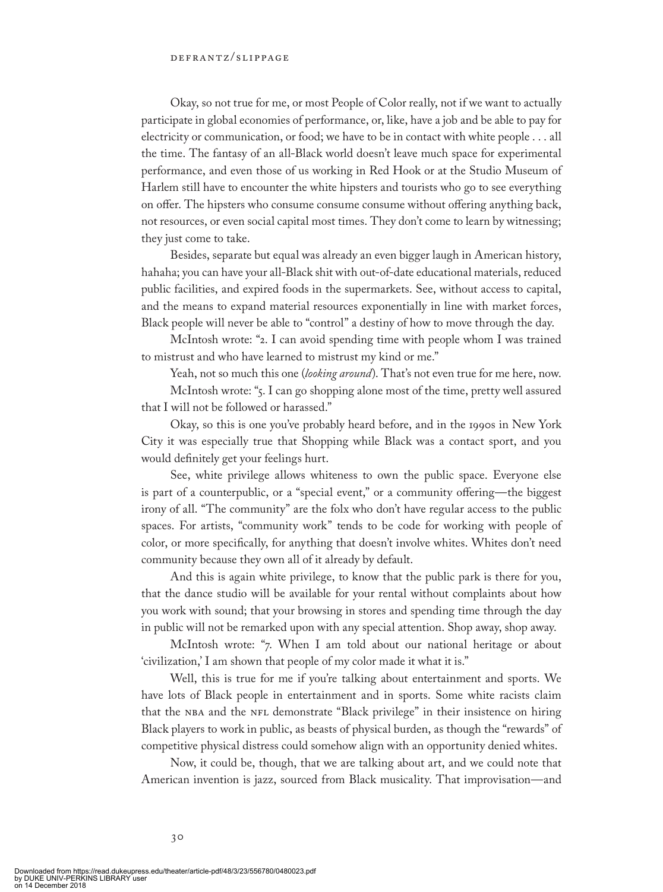Okay, so not true for me, or most People of Color really, not if we want to actually participate in global economies of performance, or, like, have a job and be able to pay for electricity or communication, or food; we have to be in contact with white people . . . all the time. The fantasy of an all-Black world doesn't leave much space for experimental performance, and even those of us working in Red Hook or at the Studio Museum of Harlem still have to encounter the white hipsters and tourists who go to see everything on offer. The hipsters who consume consume consume without offering anything back, not resources, or even social capital most times. They don't come to learn by witnessing; they just come to take.

Besides, separate but equal was already an even bigger laugh in American history, hahaha; you can have your all-Black shit with out-of-date educational materials, reduced public facilities, and expired foods in the supermarkets. See, without access to capital, and the means to expand material resources exponentially in line with market forces, Black people will never be able to "control" a destiny of how to move through the day.

McIntosh wrote: "2. I can avoid spending time with people whom I was trained to mistrust and who have learned to mistrust my kind or me."

Yeah, not so much this one (*looking around*). That's not even true for me here, now.

McIntosh wrote: "5. I can go shopping alone most of the time, pretty well assured that I will not be followed or harassed."

Okay, so this is one you've probably heard before, and in the 1990s in New York City it was especially true that Shopping while Black was a contact sport, and you would definitely get your feelings hurt.

See, white privilege allows whiteness to own the public space. Everyone else is part of a counterpublic, or a "special event," or a community offering—the biggest irony of all. "The community" are the folx who don't have regular access to the public spaces. For artists, "community work" tends to be code for working with people of color, or more specifically, for anything that doesn't involve whites. Whites don't need community because they own all of it already by default.

And this is again white privilege, to know that the public park is there for you, that the dance studio will be available for your rental without complaints about how you work with sound; that your browsing in stores and spending time through the day in public will not be remarked upon with any special attention. Shop away, shop away.

McIntosh wrote: "7. When I am told about our national heritage or about 'civilization,' I am shown that people of my color made it what it is."

Well, this is true for me if you're talking about entertainment and sports. We have lots of Black people in entertainment and in sports. Some white racists claim that the NBA and the NFL demonstrate "Black privilege" in their insistence on hiring Black players to work in public, as beasts of physical burden, as though the "rewards" of competitive physical distress could somehow align with an opportunity denied whites.

Now, it could be, though, that we are talking about art, and we could note that American invention is jazz, sourced from Black musicality. That improvisation—and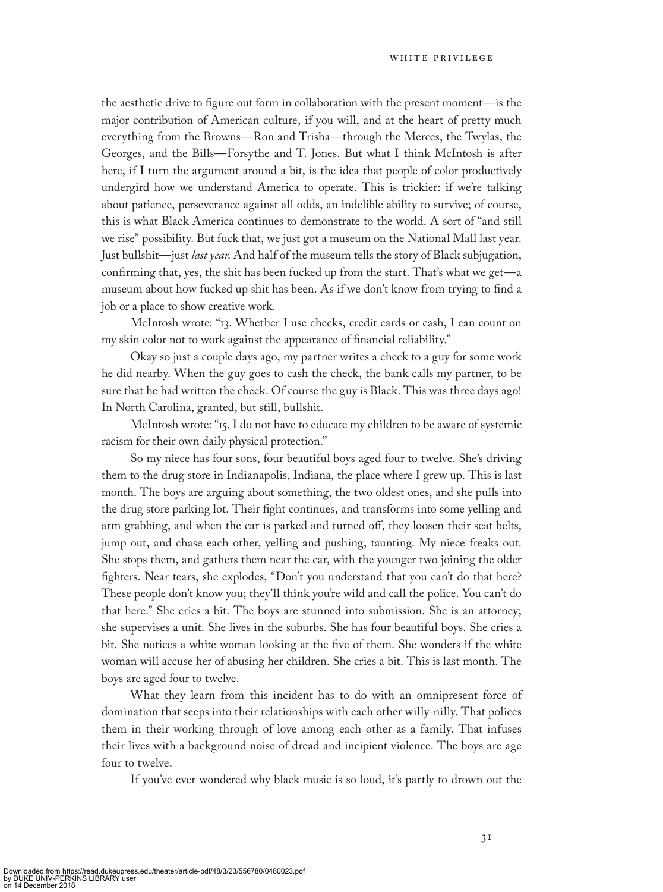the aesthetic drive to figure out form in collaboration with the present moment—is the major contribution of American culture, if you will, and at the heart of pretty much everything from the Browns—Ron and Trisha—through the Merces, the Twylas, the Georges, and the Bills—Forsythe and T. Jones. But what I think McIntosh is after here, if I turn the argument around a bit, is the idea that people of color productively undergird how we understand America to operate. This is trickier: if we're talking about patience, perseverance against all odds, an indelible ability to survive; of course, this is what Black America continues to demonstrate to the world. A sort of "and still we rise" possibility. But fuck that, we just got a museum on the National Mall last year. Just bullshit—just *last year*. And half of the museum tells the story of Black subjugation, confirming that, yes, the shit has been fucked up from the start. That's what we get—a museum about how fucked up shit has been. As if we don't know from trying to find a job or a place to show creative work.

McIntosh wrote: "13. Whether I use checks, credit cards or cash, I can count on my skin color not to work against the appearance of financial reliability."

Okay so just a couple days ago, my partner writes a check to a guy for some work he did nearby. When the guy goes to cash the check, the bank calls my partner, to be sure that he had written the check. Of course the guy is Black. This was three days ago! In North Carolina, granted, but still, bullshit.

McIntosh wrote: "15. I do not have to educate my children to be aware of systemic racism for their own daily physical protection."

So my niece has four sons, four beautiful boys aged four to twelve. She's driving them to the drug store in Indianapolis, Indiana, the place where I grew up. This is last month. The boys are arguing about something, the two oldest ones, and she pulls into the drug store parking lot. Their fight continues, and transforms into some yelling and arm grabbing, and when the car is parked and turned off, they loosen their seat belts, jump out, and chase each other, yelling and pushing, taunting. My niece freaks out. She stops them, and gathers them near the car, with the younger two joining the older fighters. Near tears, she explodes, "Don't you understand that you can't do that here? These people don't know you; they'll think you're wild and call the police. You can't do that here." She cries a bit. The boys are stunned into submission. She is an attorney; she supervises a unit. She lives in the suburbs. She has four beautiful boys. She cries a bit. She notices a white woman looking at the five of them. She wonders if the white woman will accuse her of abusing her children. She cries a bit. This is last month. The boys are aged four to twelve.

What they learn from this incident has to do with an omnipresent force of domination that seeps into their relationships with each other willy-nilly. That polices them in their working through of love among each other as a family. That infuses their lives with a background noise of dread and incipient violence. The boys are age four to twelve.

If you've ever wondered why black music is so loud, it's partly to drown out the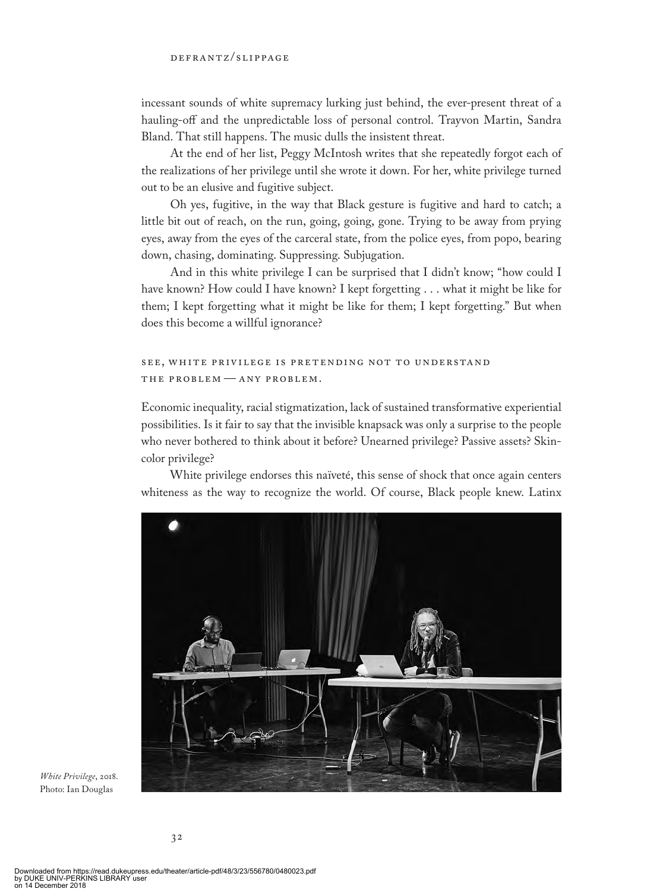incessant sounds of white supremacy lurking just behind, the ever-present threat of a hauling-off and the unpredictable loss of personal control. Trayvon Martin, Sandra Bland. That still happens. The music dulls the insistent threat.

At the end of her list, Peggy McIntosh writes that she repeatedly forgot each of the realizations of her privilege until she wrote it down. For her, white privilege turned out to be an elusive and fugitive subject.

Oh yes, fugitive, in the way that Black gesture is fugitive and hard to catch; a little bit out of reach, on the run, going, going, gone. Trying to be away from prying eyes, away from the eyes of the carceral state, from the police eyes, from popo, bearing down, chasing, dominating. Suppressing. Subjugation.

And in this white privilege I can be surprised that I didn't know; "how could I have known? How could I have known? I kept forgetting . . . what it might be like for them; I kept forgetting what it might be like for them; I kept forgetting." But when does this become a willful ignorance?

### see, white privilege is pretending not to un derstan d THE PROBLEM - ANY PROBLEM.

Economic inequality, racial stigmatization, lack of sustained transformative experiential possibilities. Is it fair to say that the invisible knapsack was only a surprise to the people who never bothered to think about it before? Unearned privilege? Passive assets? Skincolor privilege?

White privilege endorses this naïveté, this sense of shock that once again centers whiteness as the way to recognize the world. Of course, Black people knew. Latinx



*White Privilege*, 2018. Photo: Ian Douglas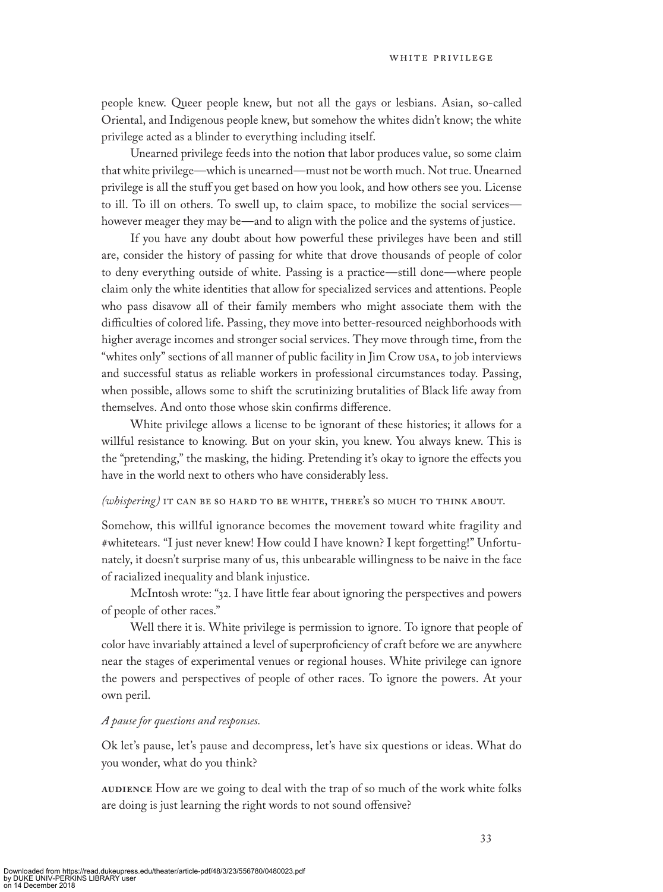people knew. Queer people knew, but not all the gays or lesbians. Asian, so-called Oriental, and Indigenous people knew, but somehow the whites didn't know; the white privilege acted as a blinder to everything including itself.

Unearned privilege feeds into the notion that labor produces value, so some claim that white privilege—which is unearned—must not be worth much. Not true. Unearned privilege is all the stuff you get based on how you look, and how others see you. License to ill. To ill on others. To swell up, to claim space, to mobilize the social services however meager they may be—and to align with the police and the systems of justice.

If you have any doubt about how powerful these privileges have been and still are, consider the history of passing for white that drove thousands of people of color to deny everything outside of white. Passing is a practice—still done—where people claim only the white identities that allow for specialized services and attentions. People who pass disavow all of their family members who might associate them with the difficulties of colored life. Passing, they move into better-resourced neighborhoods with higher average incomes and stronger social services. They move through time, from the "whites only" sections of all manner of public facility in Jim Crow usa, to job interviews and successful status as reliable workers in professional circumstances today. Passing, when possible, allows some to shift the scrutinizing brutalities of Black life away from themselves. And onto those whose skin confirms difference.

White privilege allows a license to be ignorant of these histories; it allows for a willful resistance to knowing. But on your skin, you knew. You always knew. This is the "pretending," the masking, the hiding. Pretending it's okay to ignore the effects you have in the world next to others who have considerably less.

### *(whispering)* IT CAN BE SO HARD TO BE WHITE, THERE'S SO MUCH TO THINK ABOUT.

Somehow, this willful ignorance becomes the movement toward white fragility and #whitetears. "I just never knew! How could I have known? I kept forgetting!" Unfortunately, it doesn't surprise many of us, this unbearable willingness to be naive in the face of racialized inequality and blank injustice.

McIntosh wrote: "32. I have little fear about ignoring the perspectives and powers of people of other races."

Well there it is. White privilege is permission to ignore. To ignore that people of color have invariably attained a level of superproficiency of craft before we are anywhere near the stages of experimental venues or regional houses. White privilege can ignore the powers and perspectives of people of other races. To ignore the powers. At your own peril.

### *A pause for questions and responses.*

Ok let's pause, let's pause and decompress, let's have six questions or ideas. What do you wonder, what do you think?

AUDIENCE How are we going to deal with the trap of so much of the work white folks are doing is just learning the right words to not sound offensive?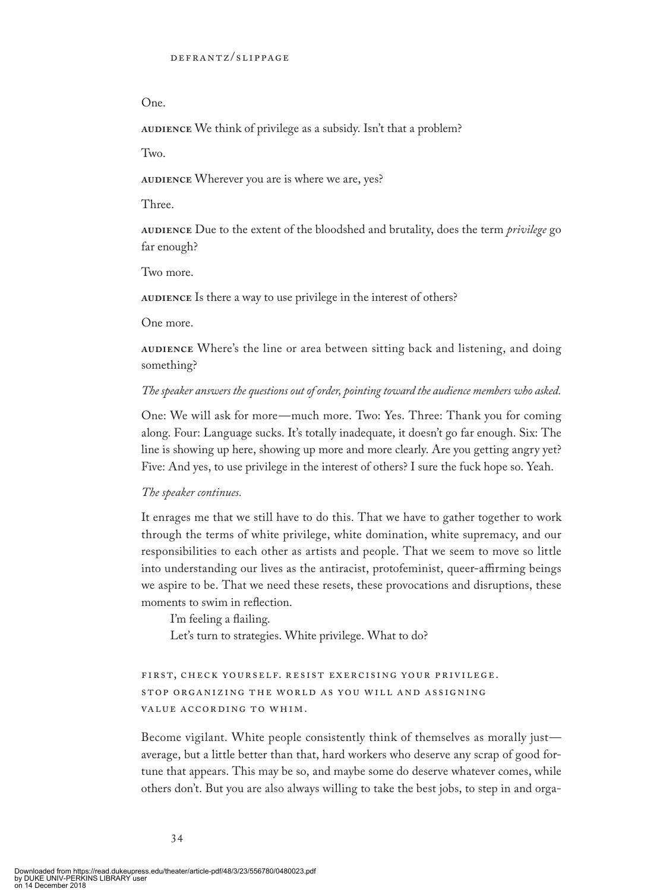### One.

AUDIENCE We think of privilege as a subsidy. Isn't that a problem?

Two.

AUDIENCE Wherever you are is where we are, yes?

Three.

**audience** Due to the extent of the bloodshed and brutality, does the term *privilege* go far enough?

Two more.

**AUDIENCE** Is there a way to use privilege in the interest of others?

One more.

AUDIENCE Where's the line or area between sitting back and listening, and doing something?

### *The speaker answers the questions out of order, pointing toward the audience members who asked.*

One: We will ask for more—much more. Two: Yes. Three: Thank you for coming along. Four: Language sucks. It's totally inadequate, it doesn't go far enough. Six: The line is showing up here, showing up more and more clearly. Are you getting angry yet? Five: And yes, to use privilege in the interest of others? I sure the fuck hope so. Yeah.

### *The speaker continues.*

It enrages me that we still have to do this. That we have to gather together to work through the terms of white privilege, white domination, white supremacy, and our responsibilities to each other as artists and people. That we seem to move so little into understanding our lives as the antiracist, protofeminist, queer-affirming beings we aspire to be. That we need these resets, these provocations and disruptions, these moments to swim in reflection.

I'm feeling a flailing. Let's turn to strategies. White privilege. What to do?

## FIRST, CHECK YOURSELF. RESIST EXERCISING YOUR PRIVILEGE. STOP ORGANIZING THE WORLD AS YOU WILL AND ASSIGNING VALUE ACCORDING TO WHIM.

Become vigilant. White people consistently think of themselves as morally just average, but a little better than that, hard workers who deserve any scrap of good fortune that appears. This may be so, and maybe some do deserve whatever comes, while others don't. But you are also always willing to take the best jobs, to step in and orga-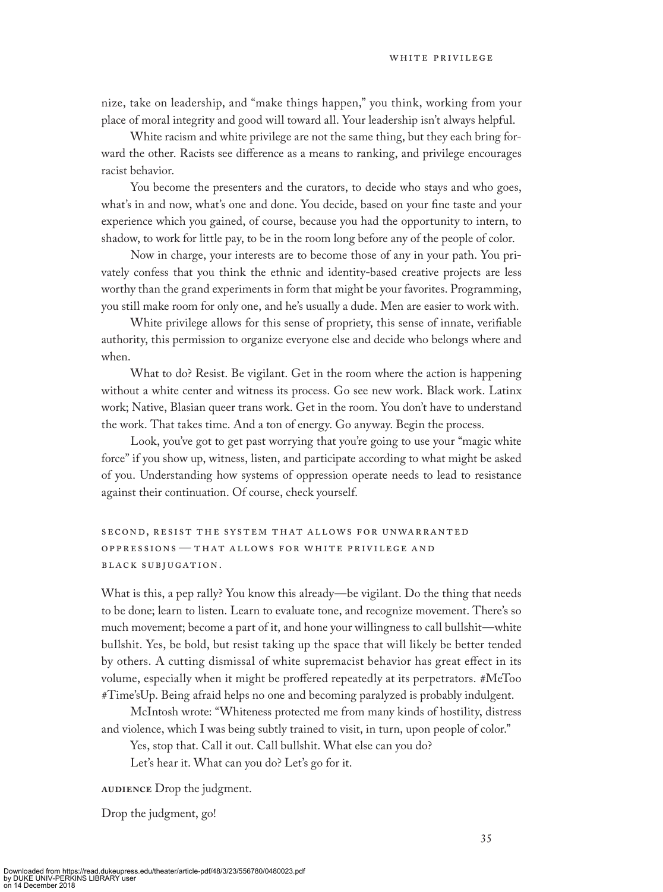nize, take on leadership, and "make things happen," you think, working from your place of moral integrity and good will toward all. Your leadership isn't always helpful.

White racism and white privilege are not the same thing, but they each bring forward the other. Racists see difference as a means to ranking, and privilege encourages racist behavior.

You become the presenters and the curators, to decide who stays and who goes, what's in and now, what's one and done. You decide, based on your fine taste and your experience which you gained, of course, because you had the opportunity to intern, to shadow, to work for little pay, to be in the room long before any of the people of color.

Now in charge, your interests are to become those of any in your path. You privately confess that you think the ethnic and identity-based creative projects are less worthy than the grand experiments in form that might be your favorites. Programming, you still make room for only one, and he's usually a dude. Men are easier to work with.

White privilege allows for this sense of propriety, this sense of innate, verifiable authority, this permission to organize everyone else and decide who belongs where and when.

What to do? Resist. Be vigilant. Get in the room where the action is happening without a white center and witness its process. Go see new work. Black work. Latinx work; Native, Blasian queer trans work. Get in the room. You don't have to understand the work. That takes time. And a ton of energy. Go anyway. Begin the process.

Look, you've got to get past worrying that you're going to use your "magic white force" if you show up, witness, listen, and participate according to what might be asked of you. Understanding how systems of oppression operate needs to lead to resistance against their continuation. Of course, check yourself.

second, resist the system that allows for un warrant ed oppressions — that allows for white privilege an d BLACK SUBJUGATION.

What is this, a pep rally? You know this already—be vigilant. Do the thing that needs to be done; learn to listen. Learn to evaluate tone, and recognize movement. There's so much movement; become a part of it, and hone your willingness to call bullshit—white bullshit. Yes, be bold, but resist taking up the space that will likely be better tended by others. A cutting dismissal of white supremacist behavior has great effect in its volume, especially when it might be proffered repeatedly at its perpetrators. #MeToo #Time'sUp. Being afraid helps no one and becoming paralyzed is probably indulgent.

McIntosh wrote: "Whiteness protected me from many kinds of hostility, distress and violence, which I was being subtly trained to visit, in turn, upon people of color."

Yes, stop that. Call it out. Call bullshit. What else can you do?

Let's hear it. What can you do? Let's go for it.

**AUDIENCE** Drop the judgment.

Drop the judgment, go!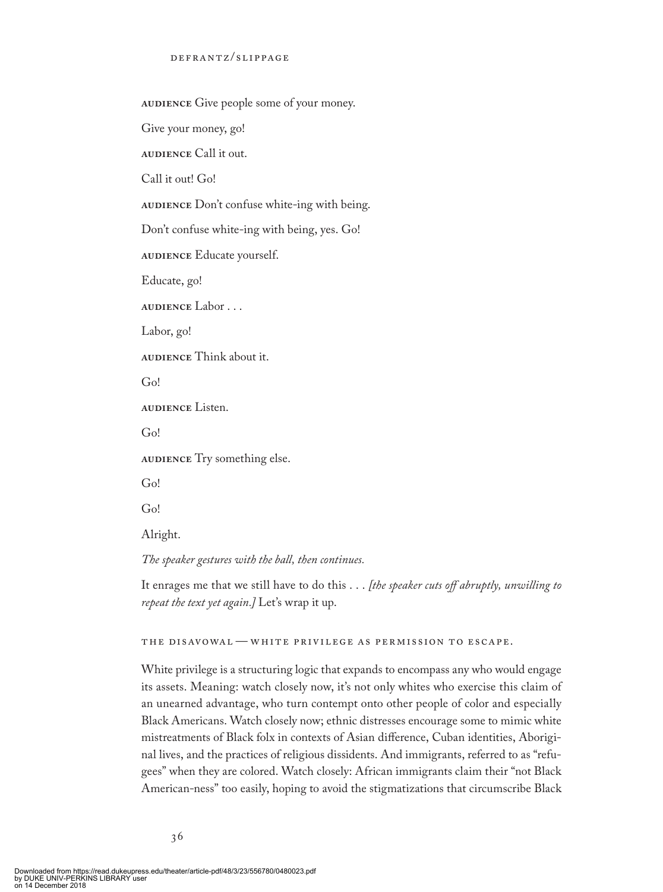**AUDIENCE** Give people some of your money.

Give your money, go!

**audience** Call it out.

Call it out! Go!

**AUDIENCE** Don't confuse white-ing with being.

Don't confuse white-ing with being, yes. Go!

**AUDIENCE** Educate yourself.

Educate, go!

**audience** Labor . . .

Labor, go!

**audience** Think about it.

Go!

**audience** Listen.

Go!

**audience** Try something else.

Go!

Go!

Alright.

*The speaker gestures with the ball, then continues.*

It enrages me that we still have to do this . . . *[the speaker cuts off abruptly, unwilling to repeat the text yet again.]* Let's wrap it up.

### the disavowal — white privilege as permission to escape.

White privilege is a structuring logic that expands to encompass any who would engage its assets. Meaning: watch closely now, it's not only whites who exercise this claim of an unearned advantage, who turn contempt onto other people of color and especially Black Americans. Watch closely now; ethnic distresses encourage some to mimic white mistreatments of Black folx in contexts of Asian difference, Cuban identities, Aboriginal lives, and the practices of religious dissidents. And immigrants, referred to as "refugees" when they are colored. Watch closely: African immigrants claim their "not Black American-ness" too easily, hoping to avoid the stigmatizations that circumscribe Black